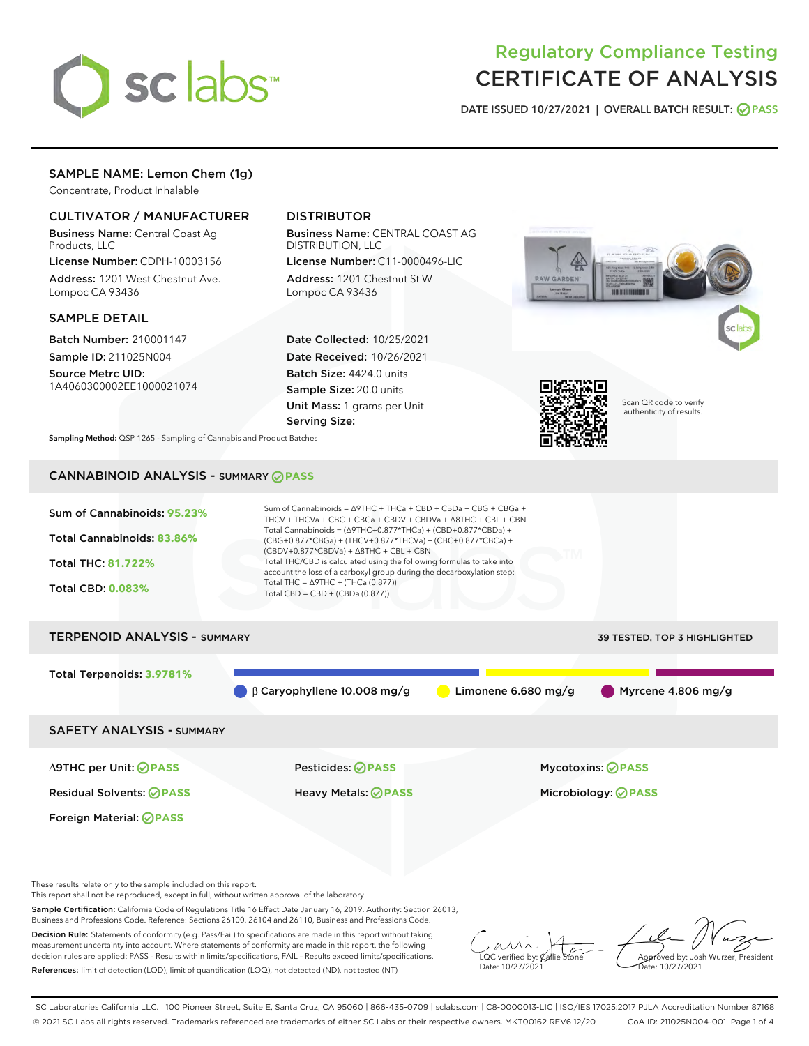

# Regulatory Compliance Testing CERTIFICATE OF ANALYSIS

DATE ISSUED 10/27/2021 | OVERALL BATCH RESULT: @ PASS

# SAMPLE NAME: Lemon Chem (1g)

Concentrate, Product Inhalable

# CULTIVATOR / MANUFACTURER

Business Name: Central Coast Ag Products, LLC

License Number: CDPH-10003156 Address: 1201 West Chestnut Ave. Lompoc CA 93436

## SAMPLE DETAIL

Batch Number: 210001147 Sample ID: 211025N004

Source Metrc UID: 1A4060300002EE1000021074

# DISTRIBUTOR

Business Name: CENTRAL COAST AG DISTRIBUTION, LLC

License Number: C11-0000496-LIC Address: 1201 Chestnut St W Lompoc CA 93436

Date Collected: 10/25/2021 Date Received: 10/26/2021 Batch Size: 4424.0 units Sample Size: 20.0 units Unit Mass: 1 grams per Unit Serving Size:





Scan QR code to verify authenticity of results.

Sampling Method: QSP 1265 - Sampling of Cannabis and Product Batches

# CANNABINOID ANALYSIS - SUMMARY **PASS**

| Sum of Cannabinoids: 95.23%<br>Total Cannabinoids: 83.86%<br><b>Total THC: 81.722%</b><br><b>Total CBD: 0.083%</b> | Sum of Cannabinoids = $\triangle$ 9THC + THCa + CBD + CBDa + CBG + CBGa +<br>THCV + THCVa + CBC + CBCa + CBDV + CBDVa + $\triangle$ 8THC + CBL + CBN<br>Total Cannabinoids = $(\Delta$ 9THC+0.877*THCa) + (CBD+0.877*CBDa) +<br>(CBG+0.877*CBGa) + (THCV+0.877*THCVa) + (CBC+0.877*CBCa) +<br>$(CBDV+0.877*CBDVa) + \Delta 8THC + CBL + CBN$<br>Total THC/CBD is calculated using the following formulas to take into<br>account the loss of a carboxyl group during the decarboxylation step:<br>Total THC = $\triangle$ 9THC + (THCa (0.877))<br>Total CBD = CBD + (CBDa (0.877)) |                       |                              |  |  |
|--------------------------------------------------------------------------------------------------------------------|-------------------------------------------------------------------------------------------------------------------------------------------------------------------------------------------------------------------------------------------------------------------------------------------------------------------------------------------------------------------------------------------------------------------------------------------------------------------------------------------------------------------------------------------------------------------------------------|-----------------------|------------------------------|--|--|
| <b>TERPENOID ANALYSIS - SUMMARY</b>                                                                                |                                                                                                                                                                                                                                                                                                                                                                                                                                                                                                                                                                                     |                       | 39 TESTED, TOP 3 HIGHLIGHTED |  |  |
| Total Terpenoids: 3.9781%                                                                                          | $\beta$ Caryophyllene 10.008 mg/g                                                                                                                                                                                                                                                                                                                                                                                                                                                                                                                                                   | Limonene 6.680 $mg/g$ | Myrcene 4.806 mg/g           |  |  |
| <b>SAFETY ANALYSIS - SUMMARY</b>                                                                                   |                                                                                                                                                                                                                                                                                                                                                                                                                                                                                                                                                                                     |                       |                              |  |  |
| ∆9THC per Unit: ⊘PASS                                                                                              | Pesticides: ⊘PASS                                                                                                                                                                                                                                                                                                                                                                                                                                                                                                                                                                   |                       | <b>Mycotoxins: ⊘PASS</b>     |  |  |
| <b>Residual Solvents: ⊘PASS</b>                                                                                    | Heavy Metals: <b>OPASS</b>                                                                                                                                                                                                                                                                                                                                                                                                                                                                                                                                                          |                       | Microbiology: <b>OPASS</b>   |  |  |
| Foreign Material: <b>⊘ PASS</b>                                                                                    |                                                                                                                                                                                                                                                                                                                                                                                                                                                                                                                                                                                     |                       |                              |  |  |

These results relate only to the sample included on this report.

This report shall not be reproduced, except in full, without written approval of the laboratory.

Sample Certification: California Code of Regulations Title 16 Effect Date January 16, 2019. Authority: Section 26013, Business and Professions Code. Reference: Sections 26100, 26104 and 26110, Business and Professions Code.

Decision Rule: Statements of conformity (e.g. Pass/Fail) to specifications are made in this report without taking measurement uncertainty into account. Where statements of conformity are made in this report, the following decision rules are applied: PASS – Results within limits/specifications, FAIL – Results exceed limits/specifications. References: limit of detection (LOD), limit of quantification (LOQ), not detected (ND), not tested (NT)

 $\sim$  CC verified by:  $\mathscr{C}$  a Date: 10/27/2021

Approved by: Josh Wurzer, President ate: 10/27/2021

SC Laboratories California LLC. | 100 Pioneer Street, Suite E, Santa Cruz, CA 95060 | 866-435-0709 | sclabs.com | C8-0000013-LIC | ISO/IES 17025:2017 PJLA Accreditation Number 87168 © 2021 SC Labs all rights reserved. Trademarks referenced are trademarks of either SC Labs or their respective owners. MKT00162 REV6 12/20 CoA ID: 211025N004-001 Page 1 of 4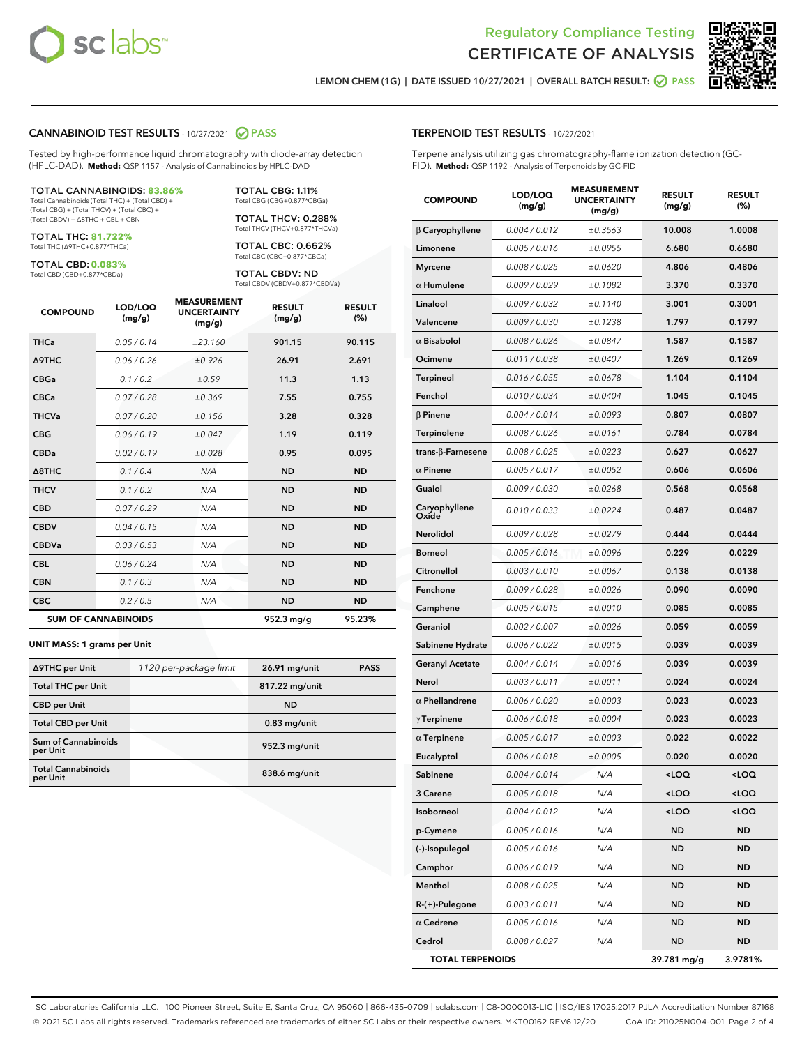

Terpene analysis utilizing gas chromatography-flame ionization detection (GC-



LEMON CHEM (1G) | DATE ISSUED 10/27/2021 | OVERALL BATCH RESULT: 2 PASS

TERPENOID TEST RESULTS - 10/27/2021

FID). **Method:** QSP 1192 - Analysis of Terpenoids by GC-FID

### CANNABINOID TEST RESULTS - 10/27/2021 @ PASS

Tested by high-performance liquid chromatography with diode-array detection (HPLC-DAD). **Method:** QSP 1157 - Analysis of Cannabinoids by HPLC-DAD

#### TOTAL CANNABINOIDS: **83.86%**

Total Cannabinoids (Total THC) + (Total CBD) + (Total CBG) + (Total THCV) + (Total CBC) + (Total CBDV) + ∆8THC + CBL + CBN

TOTAL THC: **81.722%** Total THC (∆9THC+0.877\*THCa)

TOTAL CBD: **0.083%**

Total CBD (CBD+0.877\*CBDa)

TOTAL CBG: 1.11% Total CBG (CBG+0.877\*CBGa)

TOTAL THCV: 0.288% Total THCV (THCV+0.877\*THCVa)

TOTAL CBC: 0.662% Total CBC (CBC+0.877\*CBCa)

TOTAL CBDV: ND Total CBDV (CBDV+0.877\*CBDVa)

| <b>COMPOUND</b>  | LOD/LOQ<br>(mg/g)          | <b>MEASUREMENT</b><br><b>UNCERTAINTY</b><br>(mg/g) | <b>RESULT</b><br>(mg/g) | <b>RESULT</b><br>(%) |
|------------------|----------------------------|----------------------------------------------------|-------------------------|----------------------|
| <b>THCa</b>      | 0.05/0.14                  | ±23.160                                            | 901.15                  | 90.115               |
| <b>A9THC</b>     | 0.06 / 0.26                | ±0.926                                             | 26.91                   | 2.691                |
| <b>CBGa</b>      | 0.1/0.2                    | ±0.59                                              | 11.3                    | 1.13                 |
| <b>CBCa</b>      | 0.07 / 0.28                | ±0.369                                             | 7.55                    | 0.755                |
| <b>THCVa</b>     | 0.07/0.20                  | ±0.156                                             | 3.28                    | 0.328                |
| <b>CBG</b>       | 0.06/0.19                  | ±0.047                                             | 1.19                    | 0.119                |
| <b>CBDa</b>      | 0.02/0.19                  | ±0.028                                             | 0.95                    | 0.095                |
| $\triangle$ 8THC | 0.1/0.4                    | N/A                                                | <b>ND</b>               | <b>ND</b>            |
| <b>THCV</b>      | 0.1/0.2                    | N/A                                                | <b>ND</b>               | <b>ND</b>            |
| <b>CBD</b>       | 0.07/0.29                  | N/A                                                | <b>ND</b>               | <b>ND</b>            |
| <b>CBDV</b>      | 0.04 / 0.15                | N/A                                                | <b>ND</b>               | <b>ND</b>            |
| <b>CBDVa</b>     | 0.03/0.53                  | N/A                                                | <b>ND</b>               | <b>ND</b>            |
| <b>CBL</b>       | 0.06 / 0.24                | N/A                                                | <b>ND</b>               | <b>ND</b>            |
| <b>CBN</b>       | 0.1/0.3                    | N/A                                                | <b>ND</b>               | <b>ND</b>            |
| <b>CBC</b>       | 0.2 / 0.5                  | N/A                                                | <b>ND</b>               | <b>ND</b>            |
|                  | <b>SUM OF CANNABINOIDS</b> |                                                    | 952.3 mg/g              | 95.23%               |

#### **UNIT MASS: 1 grams per Unit**

| ∆9THC per Unit                        | 1120 per-package limit | 26.91 mg/unit  | <b>PASS</b> |
|---------------------------------------|------------------------|----------------|-------------|
| <b>Total THC per Unit</b>             |                        | 817.22 mg/unit |             |
| <b>CBD</b> per Unit                   |                        | <b>ND</b>      |             |
| <b>Total CBD per Unit</b>             |                        | $0.83$ mg/unit |             |
| Sum of Cannabinoids<br>per Unit       |                        | 952.3 mg/unit  |             |
| <b>Total Cannabinoids</b><br>per Unit |                        | 838.6 mg/unit  |             |

# COMPOUND LOD/LOQ (mg/g) MEASUREMENT UNCERTAINTY (mg/g) RESULT (mg/g) RESULT (%) β Caryophyllene 0.004 / 0.012 ± 0.3563 10.008 1.0008 Limonene  $0.005 / 0.016$   $\pm 0.0955$  6.680 0.6680 Myrcene 0.008 / 0.025  $\pm 0.0620$  4.806 0.4806  $α$  Humulene  $0.009 / 0.029$   $± 0.1082$  3.370 0.3370 Linalool  $0.009 / 0.032$   $\pm 0.1140$  3.001 0.3001 Valencene  $0.009 / 0.030$   $\pm 0.1238$  1.797 0.1797  $\alpha$  Bisabolol  $0.008 / 0.026$   $\pm 0.0847$  1.587 0.1587 Ocimene 0.011 / 0.038 ± 0.0407 1.269 0.1269 Terpineol  $0.016 / 0.055$   $\pm 0.0678$  1.104 0.1104 Fenchol  $0.010 / 0.034$   $\pm 0.0404$  1.045 0.1045  $β$  Pinene  $0.004 / 0.014$   $± 0.0093$  0.807 0.0807 Terpinolene 0.008 / 0.026 ± 0.0161 0.784 0.0784 trans-β-Farnesene 0.008 / 0.025 ± 0.0223 0.627 0.0627  $α$  Pinene  $0.005 / 0.017$   $± 0.0052$  0.606 0.0606 Guaiol 0.009 / 0.030 ± 0.0268 0.568 0.0568 Caryophyllene Oxide 0.010 / 0.033 ± 0.0224 0.487 0.0487 Nerolidol  $0.009 / 0.028$   $\pm 0.0279$  0.444 0.0444 Borneol 0.005 / 0.016 ± 0.0096 0.229 0.0229  $Citronellol$  0.003 / 0.010  $\pm 0.0067$  0.138 0.0138 **Fenchone**  $0.009 / 0.028$   $\pm 0.0026$  0.090 0.0090 Camphene  $0.005 / 0.015$   $\pm 0.0010$  0.085 0.0085 Geraniol 0.002 / 0.007 ± 0.0026 0.059 0.0059 Sabinene Hydrate  $0.006 / 0.022$   $\pm 0.0015$  0.0039 0.0039 Geranyl Acetate  $0.004 / 0.014$   $\pm 0.0016$  0.039 0.0039 Nerol 0.003/0.011  $\pm 0.0011$  0.024 0.0024  $α$  Phellandrene  $0.006 / 0.020$   $± 0.0003$  0.023 0.0023  $γ$ Terpinene  $0.006 / 0.018$   $± 0.0004$  0.023 0.0023 α Terpinene  $0.005 / 0.017$   $\pm 0.0003$  0.022 0.0022 Eucalyptol 0.006 / 0.018  $\pm 0.0005$  0.020 0.0020 Sabinene 0.004 / 0.014 N/A <LOQ <LOQ  $3$  Carene  $0.005 / 0.018$   $N/A$   $\leq$  LOQ  $\leq$  LOQ Isoborneol 0.004 / 0.012 N/A <LOQ <LOQ **p-Cymene** 0.005/0.016 N/A ND ND (-)-Isopulegol 0.005 / 0.016 N/A ND ND Camphor 0.006 / 0.019 N/A ND ND

Menthol 0.008 / 0.025 N/A ND ND R-(+)-Pulegone 0.003 / 0.011 N/A ND ND  $\alpha$  Cedrene  $0.005 / 0.016$  N/A ND ND Cedrol 0.008 / 0.027 N/A ND ND TOTAL TERPENOIDS 39.781 mg/g 3.9781%

SC Laboratories California LLC. | 100 Pioneer Street, Suite E, Santa Cruz, CA 95060 | 866-435-0709 | sclabs.com | C8-0000013-LIC | ISO/IES 17025:2017 PJLA Accreditation Number 87168 © 2021 SC Labs all rights reserved. Trademarks referenced are trademarks of either SC Labs or their respective owners. MKT00162 REV6 12/20 CoA ID: 211025N004-001 Page 2 of 4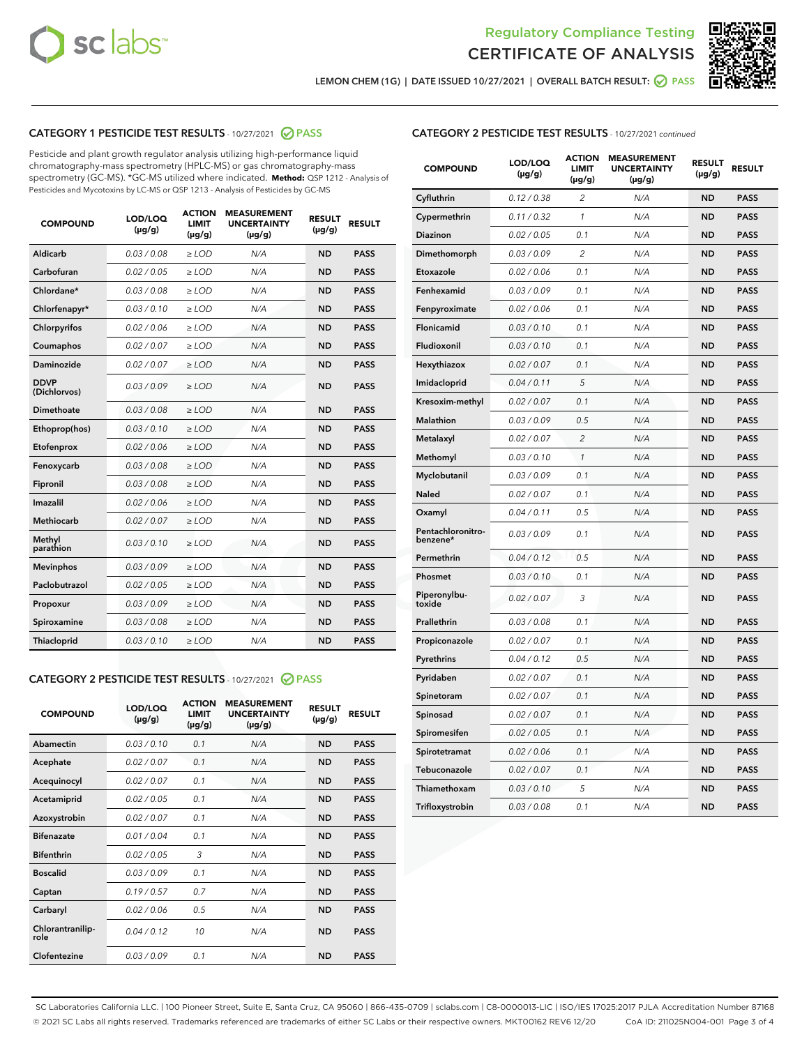



LEMON CHEM (1G) | DATE ISSUED 10/27/2021 | OVERALL BATCH RESULT: 2 PASS

# CATEGORY 1 PESTICIDE TEST RESULTS - 10/27/2021 2 PASS

Pesticide and plant growth regulator analysis utilizing high-performance liquid chromatography-mass spectrometry (HPLC-MS) or gas chromatography-mass spectrometry (GC-MS). \*GC-MS utilized where indicated. **Method:** QSP 1212 - Analysis of Pesticides and Mycotoxins by LC-MS or QSP 1213 - Analysis of Pesticides by GC-MS

| <b>COMPOUND</b>             | LOD/LOQ<br>$(\mu g/g)$ | <b>ACTION</b><br><b>LIMIT</b><br>$(\mu g/g)$ | <b>MEASUREMENT</b><br><b>UNCERTAINTY</b><br>$(\mu g/g)$ | <b>RESULT</b><br>$(\mu g/g)$ | <b>RESULT</b> |
|-----------------------------|------------------------|----------------------------------------------|---------------------------------------------------------|------------------------------|---------------|
| Aldicarb                    | 0.03 / 0.08            | $\ge$ LOD                                    | N/A                                                     | <b>ND</b>                    | <b>PASS</b>   |
| Carbofuran                  | 0.02 / 0.05            | $\ge$ LOD                                    | N/A                                                     | <b>ND</b>                    | <b>PASS</b>   |
| Chlordane*                  | 0.03 / 0.08            | $\ge$ LOD                                    | N/A                                                     | <b>ND</b>                    | <b>PASS</b>   |
| Chlorfenapyr*               | 0.03/0.10              | $\ge$ LOD                                    | N/A                                                     | <b>ND</b>                    | <b>PASS</b>   |
| Chlorpyrifos                | 0.02 / 0.06            | $\ge$ LOD                                    | N/A                                                     | <b>ND</b>                    | <b>PASS</b>   |
| Coumaphos                   | 0.02 / 0.07            | $\ge$ LOD                                    | N/A                                                     | <b>ND</b>                    | <b>PASS</b>   |
| Daminozide                  | 0.02 / 0.07            | $\ge$ LOD                                    | N/A                                                     | <b>ND</b>                    | <b>PASS</b>   |
| <b>DDVP</b><br>(Dichlorvos) | 0.03/0.09              | $\ge$ LOD                                    | N/A                                                     | <b>ND</b>                    | <b>PASS</b>   |
| <b>Dimethoate</b>           | 0.03 / 0.08            | $\ge$ LOD                                    | N/A                                                     | <b>ND</b>                    | <b>PASS</b>   |
| Ethoprop(hos)               | 0.03/0.10              | $\ge$ LOD                                    | N/A                                                     | <b>ND</b>                    | <b>PASS</b>   |
| Etofenprox                  | 0.02/0.06              | $>$ LOD                                      | N/A                                                     | <b>ND</b>                    | <b>PASS</b>   |
| Fenoxycarb                  | 0.03 / 0.08            | $\ge$ LOD                                    | N/A                                                     | <b>ND</b>                    | <b>PASS</b>   |
| Fipronil                    | 0.03/0.08              | $\ge$ LOD                                    | N/A                                                     | <b>ND</b>                    | <b>PASS</b>   |
| Imazalil                    | 0.02 / 0.06            | $>$ LOD                                      | N/A                                                     | <b>ND</b>                    | <b>PASS</b>   |
| <b>Methiocarb</b>           | 0.02 / 0.07            | $\ge$ LOD                                    | N/A                                                     | <b>ND</b>                    | <b>PASS</b>   |
| Methyl<br>parathion         | 0.03/0.10              | $\ge$ LOD                                    | N/A                                                     | <b>ND</b>                    | <b>PASS</b>   |
| <b>Mevinphos</b>            | 0.03/0.09              | $>$ LOD                                      | N/A                                                     | <b>ND</b>                    | <b>PASS</b>   |
| Paclobutrazol               | 0.02 / 0.05            | $\ge$ LOD                                    | N/A                                                     | <b>ND</b>                    | <b>PASS</b>   |
| Propoxur                    | 0.03/0.09              | $\ge$ LOD                                    | N/A                                                     | <b>ND</b>                    | <b>PASS</b>   |
| Spiroxamine                 | 0.03/0.08              | $\ge$ LOD                                    | N/A                                                     | <b>ND</b>                    | <b>PASS</b>   |
| <b>Thiacloprid</b>          | 0.03/0.10              | $\ge$ LOD                                    | N/A                                                     | <b>ND</b>                    | <b>PASS</b>   |
|                             |                        |                                              |                                                         |                              |               |

# CATEGORY 2 PESTICIDE TEST RESULTS - 10/27/2021 @ PASS

| <b>COMPOUND</b>          | LOD/LOO<br>$(\mu g/g)$ | <b>ACTION</b><br>LIMIT<br>$(\mu g/g)$ | <b>MEASUREMENT</b><br><b>UNCERTAINTY</b><br>$(\mu g/g)$ | <b>RESULT</b><br>$(\mu g/g)$ | <b>RESULT</b> |  |
|--------------------------|------------------------|---------------------------------------|---------------------------------------------------------|------------------------------|---------------|--|
| Abamectin                | 0.03/0.10              | 0.1                                   | N/A                                                     | <b>ND</b>                    | <b>PASS</b>   |  |
| Acephate                 | 0.02/0.07              | 0.1                                   | N/A                                                     | <b>ND</b>                    | <b>PASS</b>   |  |
| Acequinocyl              | 0.02/0.07              | 0.1                                   | N/A                                                     | <b>ND</b>                    | <b>PASS</b>   |  |
| Acetamiprid              | 0.02/0.05              | 0.1                                   | N/A                                                     | <b>ND</b>                    | <b>PASS</b>   |  |
| Azoxystrobin             | 0.02/0.07              | 0.1                                   | N/A                                                     | <b>ND</b>                    | <b>PASS</b>   |  |
| <b>Bifenazate</b>        | 0.01/0.04              | 0.1                                   | N/A                                                     | <b>ND</b>                    | <b>PASS</b>   |  |
| <b>Bifenthrin</b>        | 0.02/0.05              | 3                                     | N/A                                                     | <b>ND</b>                    | <b>PASS</b>   |  |
| <b>Boscalid</b>          | 0.03/0.09              | 0.1                                   | N/A                                                     | <b>ND</b>                    | <b>PASS</b>   |  |
| Captan                   | 0.19/0.57              | 0.7                                   | N/A                                                     | <b>ND</b>                    | <b>PASS</b>   |  |
| Carbaryl                 | 0.02/0.06              | 0.5                                   | N/A                                                     | <b>ND</b>                    | <b>PASS</b>   |  |
| Chlorantranilip-<br>role | 0.04/0.12              | 10                                    | N/A                                                     | <b>ND</b>                    | <b>PASS</b>   |  |
| Clofentezine             | 0.03/0.09              | 0.1                                   | N/A                                                     | <b>ND</b>                    | <b>PASS</b>   |  |

# CATEGORY 2 PESTICIDE TEST RESULTS - 10/27/2021 continued

| <b>COMPOUND</b>               | LOD/LOQ<br>(µg/g) | <b>ACTION</b><br><b>LIMIT</b><br>(µg/g) | <b>MEASUREMENT</b><br><b>UNCERTAINTY</b><br>$(\mu g/g)$ | <b>RESULT</b><br>(µg/g) | <b>RESULT</b> |
|-------------------------------|-------------------|-----------------------------------------|---------------------------------------------------------|-------------------------|---------------|
| Cyfluthrin                    | 0.12 / 0.38       | $\overline{c}$                          | N/A                                                     | <b>ND</b>               | <b>PASS</b>   |
| Cypermethrin                  | 0.11 / 0.32       | $\mathcal{I}$                           | N/A                                                     | <b>ND</b>               | <b>PASS</b>   |
| <b>Diazinon</b>               | 0.02 / 0.05       | 0.1                                     | N/A                                                     | <b>ND</b>               | <b>PASS</b>   |
| Dimethomorph                  | 0.03 / 0.09       | 2                                       | N/A                                                     | <b>ND</b>               | <b>PASS</b>   |
| Etoxazole                     | 0.02 / 0.06       | 0.1                                     | N/A                                                     | <b>ND</b>               | <b>PASS</b>   |
| Fenhexamid                    | 0.03 / 0.09       | 0.1                                     | N/A                                                     | <b>ND</b>               | <b>PASS</b>   |
| Fenpyroximate                 | 0.02 / 0.06       | 0.1                                     | N/A                                                     | <b>ND</b>               | <b>PASS</b>   |
| Flonicamid                    | 0.03/0.10         | 0.1                                     | N/A                                                     | <b>ND</b>               | <b>PASS</b>   |
| Fludioxonil                   | 0.03/0.10         | 0.1                                     | N/A                                                     | <b>ND</b>               | <b>PASS</b>   |
| Hexythiazox                   | 0.02 / 0.07       | 0.1                                     | N/A                                                     | <b>ND</b>               | <b>PASS</b>   |
| Imidacloprid                  | 0.04 / 0.11       | 5                                       | N/A                                                     | <b>ND</b>               | <b>PASS</b>   |
| Kresoxim-methyl               | 0.02 / 0.07       | 0.1                                     | N/A                                                     | <b>ND</b>               | <b>PASS</b>   |
| Malathion                     | 0.03 / 0.09       | 0.5                                     | N/A                                                     | <b>ND</b>               | <b>PASS</b>   |
| Metalaxyl                     | 0.02 / 0.07       | $\overline{c}$                          | N/A                                                     | <b>ND</b>               | <b>PASS</b>   |
| Methomyl                      | 0.03/0.10         | 1                                       | N/A                                                     | <b>ND</b>               | <b>PASS</b>   |
| Myclobutanil                  | 0.03 / 0.09       | 0.1                                     | N/A                                                     | <b>ND</b>               | <b>PASS</b>   |
| Naled                         | 0.02 / 0.07       | 0.1                                     | N/A                                                     | <b>ND</b>               | <b>PASS</b>   |
| Oxamyl                        | 0.04 / 0.11       | 0.5                                     | N/A                                                     | ND                      | <b>PASS</b>   |
| Pentachloronitro-<br>benzene* | 0.03 / 0.09       | 0.1                                     | N/A                                                     | <b>ND</b>               | <b>PASS</b>   |
| Permethrin                    | 0.04 / 0.12       | 0.5                                     | N/A                                                     | <b>ND</b>               | <b>PASS</b>   |
| Phosmet                       | 0.03 / 0.10       | 0.1                                     | N/A                                                     | <b>ND</b>               | <b>PASS</b>   |
| Piperonylbu-<br>toxide        | 0.02 / 0.07       | 3                                       | N/A                                                     | <b>ND</b>               | <b>PASS</b>   |
| Prallethrin                   | 0.03 / 0.08       | 0.1                                     | N/A                                                     | <b>ND</b>               | <b>PASS</b>   |
| Propiconazole                 | 0.02 / 0.07       | 0.1                                     | N/A                                                     | <b>ND</b>               | <b>PASS</b>   |
| Pyrethrins                    | 0.04 / 0.12       | 0.5                                     | N/A                                                     | <b>ND</b>               | <b>PASS</b>   |
| Pyridaben                     | 0.02 / 0.07       | 0.1                                     | N/A                                                     | <b>ND</b>               | <b>PASS</b>   |
| Spinetoram                    | 0.02 / 0.07       | 0.1                                     | N/A                                                     | <b>ND</b>               | <b>PASS</b>   |
| Spinosad                      | 0.02 / 0.07       | 0.1                                     | N/A                                                     | <b>ND</b>               | <b>PASS</b>   |
| Spiromesifen                  | 0.02 / 0.05       | 0.1                                     | N/A                                                     | <b>ND</b>               | <b>PASS</b>   |
| Spirotetramat                 | 0.02 / 0.06       | 0.1                                     | N/A                                                     | <b>ND</b>               | <b>PASS</b>   |
| Tebuconazole                  | 0.02 / 0.07       | 0.1                                     | N/A                                                     | <b>ND</b>               | <b>PASS</b>   |
| Thiamethoxam                  | 0.03 / 0.10       | 5                                       | N/A                                                     | <b>ND</b>               | <b>PASS</b>   |
| Trifloxystrobin               | 0.03 / 0.08       | 0.1                                     | N/A                                                     | <b>ND</b>               | <b>PASS</b>   |

SC Laboratories California LLC. | 100 Pioneer Street, Suite E, Santa Cruz, CA 95060 | 866-435-0709 | sclabs.com | C8-0000013-LIC | ISO/IES 17025:2017 PJLA Accreditation Number 87168 © 2021 SC Labs all rights reserved. Trademarks referenced are trademarks of either SC Labs or their respective owners. MKT00162 REV6 12/20 CoA ID: 211025N004-001 Page 3 of 4